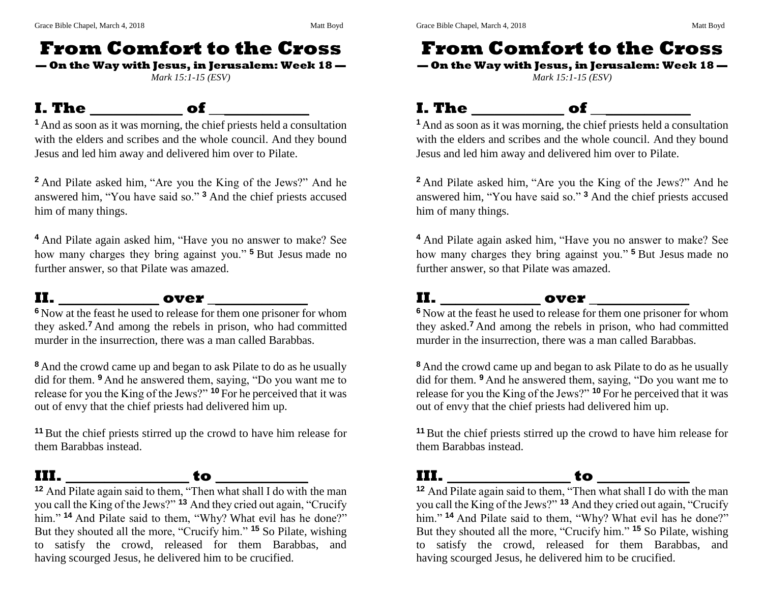# **From Comfort to the Cross**

**— On the Way with Jesus, in Jerusalem: Week 18 —**

*Mark 15:1-15 (ESV)*

#### **I. The \_\_\_\_\_\_\_\_\_\_\_\_ of \_\_\_\_\_\_\_\_\_\_\_\_\_**



**<sup>1</sup>**And as soon as it was morning, the chief priests held a consultation with the elders and scribes and the whole council. And they bound Jesus and led him away and delivered him over to Pilate.

**<sup>2</sup>** And Pilate asked him, "Are you the King of the Jews?" And he answered him, "You have said so." **<sup>3</sup>** And the chief priests accused him of many things.

**<sup>4</sup>** And Pilate again asked him, "Have you no answer to make? See how many charges they bring against you." **<sup>5</sup>** But Jesus made no further answer, so that Pilate was amazed.

#### **II. \_\_\_\_\_\_\_\_\_\_\_\_\_ over \_\_\_\_\_\_\_\_\_\_\_\_\_**

**<sup>6</sup>** Now at the feast he used to release for them one prisoner for whom they asked.**<sup>7</sup>** And among the rebels in prison, who had committed murder in the insurrection, there was a man called Barabbas.

**<sup>8</sup>** And the crowd came up and began to ask Pilate to do as he usually did for them. **<sup>9</sup>** And he answered them, saying, "Do you want me to release for you the King of the Jews?" **<sup>10</sup>** For he perceived that it was out of envy that the chief priests had delivered him up.

**<sup>11</sup>** But the chief priests stirred up the crowd to have him release for them Barabbas instead.

#### **III. \_\_\_\_\_\_\_\_\_\_\_\_\_\_\_\_ to \_\_\_\_\_\_\_\_\_\_\_\_**



**<sup>12</sup>** And Pilate again said to them, "Then what shall I do with the man you call the King of the Jews?" **<sup>13</sup>** And they cried out again, "Crucify him." <sup>14</sup> And Pilate said to them, "Why? What evil has he done?" But they shouted all the more, "Crucify him." **<sup>15</sup>** So Pilate, wishing to satisfy the crowd, released for them Barabbas, and having scourged Jesus, he delivered him to be crucified.

# **From Comfort to the Cross**

**— On the Way with Jesus, in Jerusalem: Week 18 —** *Mark 15:1-15 (ESV)*

#### **I. The \_\_\_\_\_\_\_\_\_\_\_\_ of \_\_\_\_\_\_\_\_\_\_\_\_\_**



**<sup>1</sup>**And as soon as it was morning, the chief priests held a consultation with the elders and scribes and the whole council. And they bound Jesus and led him away and delivered him over to Pilate.

**<sup>2</sup>** And Pilate asked him, "Are you the King of the Jews?" And he answered him, "You have said so." **<sup>3</sup>** And the chief priests accused him of many things.

**<sup>4</sup>** And Pilate again asked him, "Have you no answer to make? See how many charges they bring against you." **<sup>5</sup>** But Jesus made no further answer, so that Pilate was amazed.

### **II. \_\_\_\_\_\_\_\_\_\_\_\_\_ over \_\_\_\_\_\_\_\_\_\_\_\_\_**

**<sup>6</sup>** Now at the feast he used to release for them one prisoner for whom they asked.**<sup>7</sup>** And among the rebels in prison, who had committed murder in the insurrection, there was a man called Barabbas.

**<sup>8</sup>** And the crowd came up and began to ask Pilate to do as he usually did for them. **<sup>9</sup>** And he answered them, saying, "Do you want me to release for you the King of the Jews?" **<sup>10</sup>** For he perceived that it was out of envy that the chief priests had delivered him up.

**<sup>11</sup>** But the chief priests stirred up the crowd to have him release for them Barabbas instead.

#### **III. \_\_\_\_\_\_\_\_\_\_\_\_\_\_\_\_ to \_\_\_\_\_\_\_\_\_\_\_\_**

**<sup>12</sup>** And Pilate again said to them, "Then what shall I do with the man you call the King of the Jews?" **<sup>13</sup>** And they cried out again, "Crucify him." <sup>14</sup> And Pilate said to them, "Why? What evil has he done?" But they shouted all the more, "Crucify him." **<sup>15</sup>** So Pilate, wishing to satisfy the crowd, released for them Barabbas, and having scourged Jesus, he delivered him to be crucified.